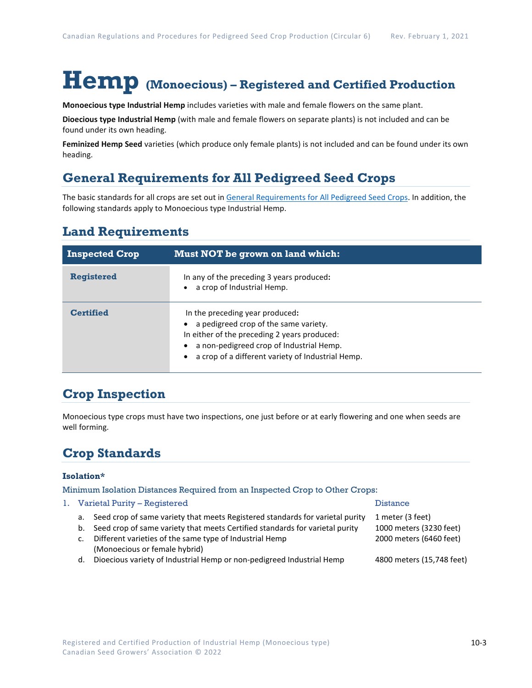# **Hemp (Monoecious) – Registered and Certified Production**

**Monoecious type Industrial Hemp** includes varieties with male and female flowers on the same plant.

**Dioecious type Industrial Hemp** (with male and female flowers on separate plants) is not included and can be found under its own heading.

**Feminized Hemp Seed** varieties (which produce only female plants) is not included and can be found under its own heading.

## **General Requirements for All Pedigreed Seed Crops**

The basic standards for all crops are set out i[n General Requirements for All Pedigreed Seed](https://seedgrowers.ca/wp-content/uploads/2020/01/GENERAL-REQUIREMENTS-ALL-CROPS_EN.pdf) Crops. In addition, the following standards apply to Monoecious type Industrial Hemp.

#### **Land Requirements**

| <b>Inspected Crop</b> | Must NOT be grown on land which:                                                                                                                                                                                          |  |
|-----------------------|---------------------------------------------------------------------------------------------------------------------------------------------------------------------------------------------------------------------------|--|
| <b>Registered</b>     | In any of the preceding 3 years produced:<br>a crop of Industrial Hemp.                                                                                                                                                   |  |
| <b>Certified</b>      | In the preceding year produced:<br>a pedigreed crop of the same variety.<br>In either of the preceding 2 years produced:<br>a non-pedigreed crop of Industrial Hemp.<br>a crop of a different variety of Industrial Hemp. |  |

## **Crop Inspection**

Monoecious type crops must have two inspections, one just before or at early flowering and one when seeds are well forming.

## **Crop Standards**

#### **Isolation\***

Minimum Isolation Distances Required from an Inspected Crop to Other Crops:

|    | 1. Varietal Purity – Registered                                                 | <b>Distance</b>           |  |
|----|---------------------------------------------------------------------------------|---------------------------|--|
| а. | Seed crop of same variety that meets Registered standards for varietal purity   | 1 meter (3 feet)          |  |
|    | b. Seed crop of same variety that meets Certified standards for varietal purity | 1000 meters (3230 feet)   |  |
| c. | Different varieties of the same type of Industrial Hemp                         | 2000 meters (6460 feet)   |  |
|    | (Monoecious or female hybrid)                                                   |                           |  |
| d. | Dioecious variety of Industrial Hemp or non-pedigreed Industrial Hemp           | 4800 meters (15,748 feet) |  |
|    |                                                                                 |                           |  |